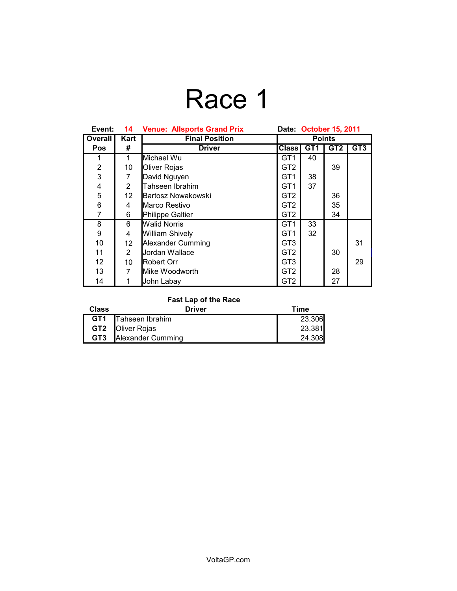# Race 1

| Event:         | 14             | <b>Venue: Allsports Grand Prix</b> | Date: October 15, 2011 |                 |                 |                 |
|----------------|----------------|------------------------------------|------------------------|-----------------|-----------------|-----------------|
| Overall        | Kart           | <b>Final Position</b>              | <b>Points</b>          |                 |                 |                 |
| <b>Pos</b>     | #              | <b>Driver</b>                      | <b>Class</b>           | GT <sub>1</sub> | GT <sub>2</sub> | GT <sub>3</sub> |
| 1              | 1              | Michael Wu                         | GT <sub>1</sub>        | 40              |                 |                 |
| $\overline{2}$ | 10             | <b>Oliver Rojas</b>                | GT <sub>2</sub>        |                 | 39              |                 |
| 3              | 7              | David Nguyen                       | GT <sub>1</sub>        | 38              |                 |                 |
| 4              | $\overline{2}$ | Tahseen Ibrahim                    | GT <sub>1</sub>        | 37              |                 |                 |
| 5              | 12             | lBartosz Nowakowski                | GT <sub>2</sub>        |                 | 36              |                 |
| 6              | 4              | Marco Restivo                      | GT <sub>2</sub>        |                 | 35              |                 |
| 7              | 6              | Philippe Galtier                   | GT <sub>2</sub>        |                 | 34              |                 |
| 8              | 6              | <b>Walid Norris</b>                | GT <sub>1</sub>        | 33              |                 |                 |
| 9              | 4              | <b>William Shively</b>             | GT <sub>1</sub>        | 32              |                 |                 |
| 10             | 12             | Alexander Cumming                  | GT <sub>3</sub>        |                 |                 | 31              |
| 11             | $\overline{2}$ | Jordan Wallace                     | GT <sub>2</sub>        |                 | 30              |                 |
| 12             | 10             | Robert Orr                         | GT <sub>3</sub>        |                 |                 | 29              |
| 13             | 7              | Mike Woodworth                     | GT <sub>2</sub>        |                 | 28              |                 |
| 14             |                | John Labay                         | GT <sub>2</sub>        |                 | 27              |                 |

### **Fast Lap of the Race**

| <b>Class</b> | <b>Driver</b>                | Time   |
|--------------|------------------------------|--------|
|              | <b>GT1</b> Tahseen Ibrahim   | 23.306 |
|              | <b>GT2 Oliver Rojas</b>      | 23.381 |
|              | <b>GT3</b> Alexander Cumming | 24.308 |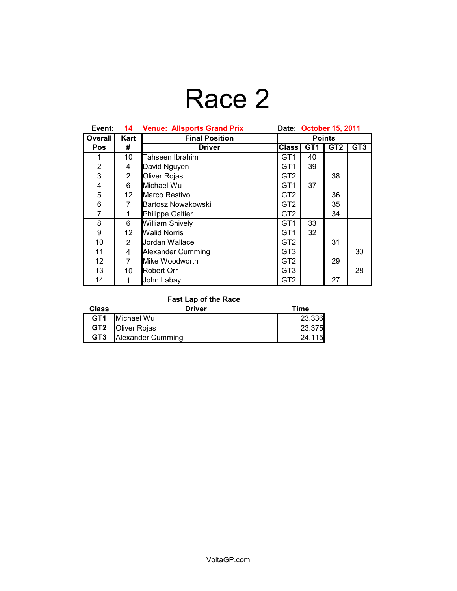### Race 2

| Event:         | 14             | <b>Venue: Allsports Grand Prix</b> | Date: October 15, 2011 |                 |                 |                 |
|----------------|----------------|------------------------------------|------------------------|-----------------|-----------------|-----------------|
| Overall        | Kart           | <b>Final Position</b>              | <b>Points</b>          |                 |                 |                 |
| <b>Pos</b>     | #              | <b>Driver</b>                      | <b>Class</b>           | GT <sub>1</sub> | GT <sub>2</sub> | GT <sub>3</sub> |
| 1              | 10             | Tahseen Ibrahim                    | GT <sub>1</sub>        | 40              |                 |                 |
| $\overline{2}$ | 4              | David Nguyen                       | GT <sub>1</sub>        | 39              |                 |                 |
| 3              | $\overline{2}$ | Oliver Rojas                       | GT <sub>2</sub>        |                 | 38              |                 |
| 4              | 6              | Michael Wu                         | GT <sub>1</sub>        | 37              |                 |                 |
| 5              | 12             | Marco Restivo                      | GT <sub>2</sub>        |                 | 36              |                 |
| 6              | 7              | Bartosz Nowakowski                 | GT <sub>2</sub>        |                 | 35              |                 |
| 7              |                | Philippe Galtier                   | GT <sub>2</sub>        |                 | 34              |                 |
| 8              | 6              | William Shively                    | GT <sub>1</sub>        | 33              |                 |                 |
| 9              | 12             | <b>Walid Norris</b>                | GT <sub>1</sub>        | 32              |                 |                 |
| 10             | $\overline{2}$ | Jordan Wallace                     | GT <sub>2</sub>        |                 | 31              |                 |
| 11             | 4              | Alexander Cumming                  | GT <sub>3</sub>        |                 |                 | 30              |
| 12             | 7              | Mike Woodworth                     | GT <sub>2</sub>        |                 | 29              |                 |
| 13             | 10             | <b>I</b> Robert Orr                | GT <sub>3</sub>        |                 |                 | 28              |
| 14             |                | John Labay                         | GT <sub>2</sub>        |                 | 27              |                 |

### **Fast Lap of the Race**

| <b>Class</b> | <b>Driver</b>                | Time   |
|--------------|------------------------------|--------|
|              | <b>GT1</b> Michael Wu        | 23.336 |
|              | <b>GT2 Oliver Rojas</b>      | 23.375 |
|              | <b>GT3</b> Alexander Cumming | 24.115 |